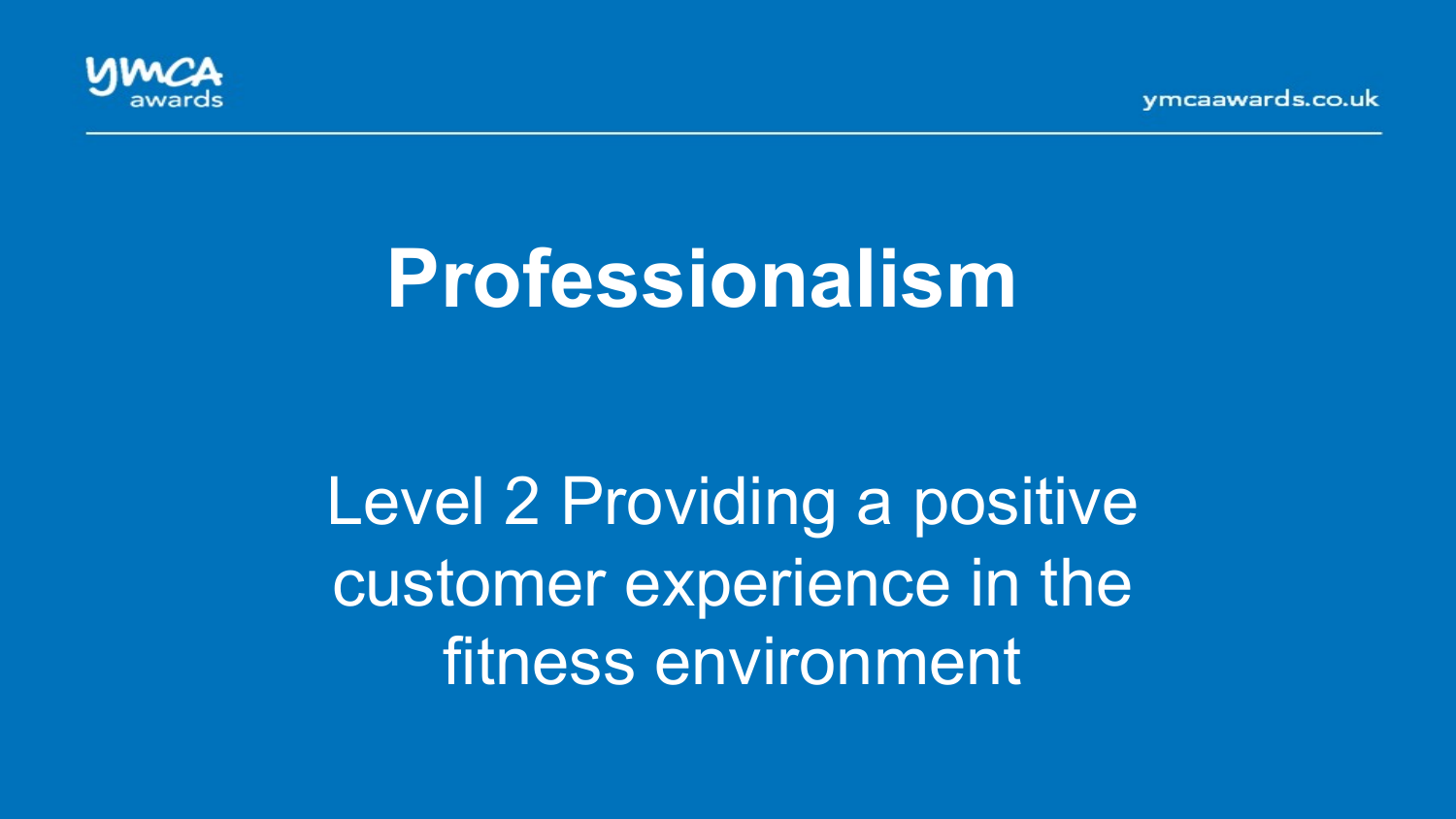vmcaawards.co.uk



# **Professionalism**

Level 2 Providing a positive customer experience in the fitness environment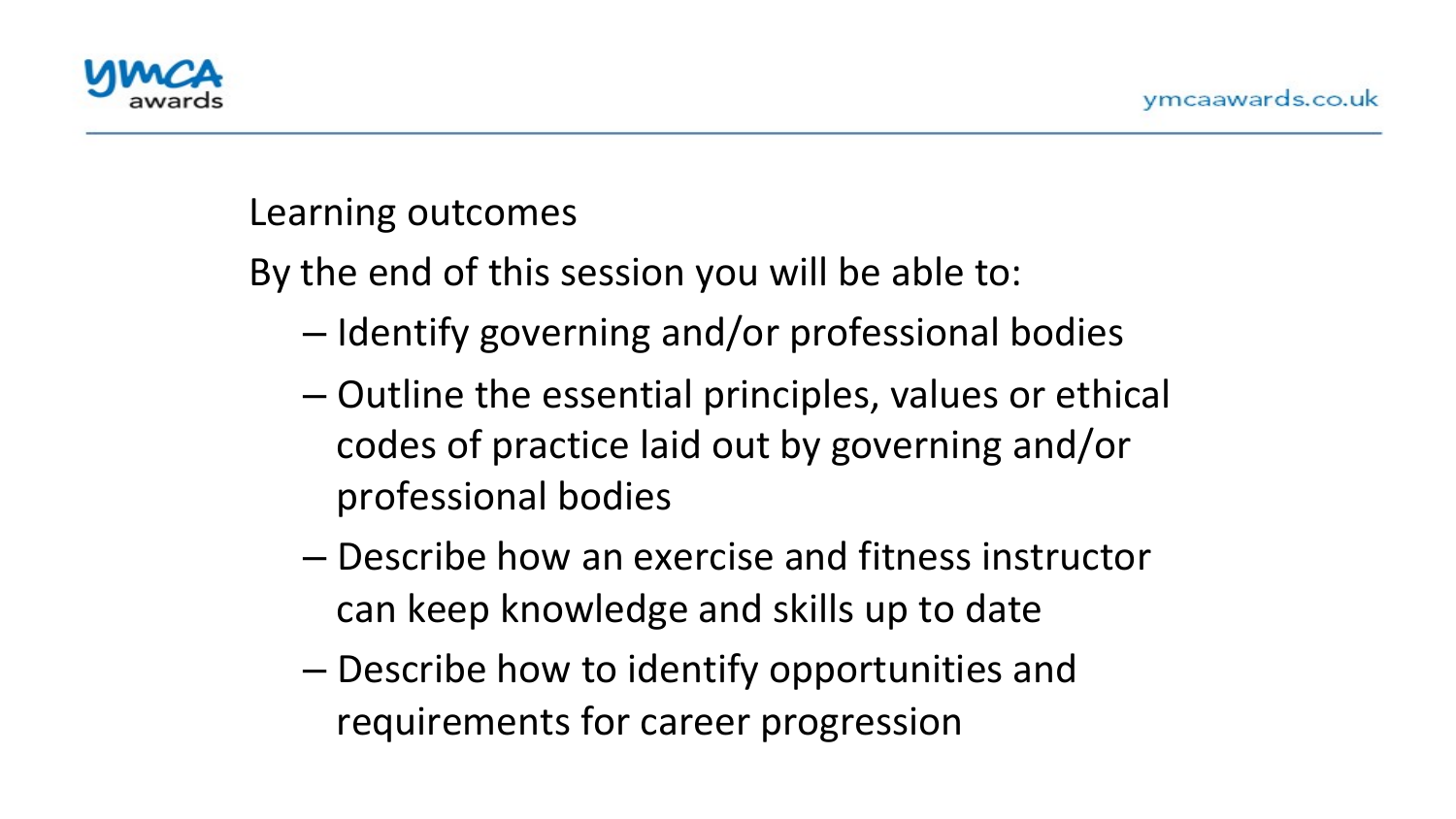

#### Learning outcomes

By the end of this session you will be able to:

- Identify governing and/or professional bodies
- $-$  Outline the essential principles, values or ethical codes of practice laid out by governing and/or professional bodies
- Describe how an exercise and fitness instructor can keep knowledge and skills up to date
- $-$  Describe how to identify opportunities and requirements for career progression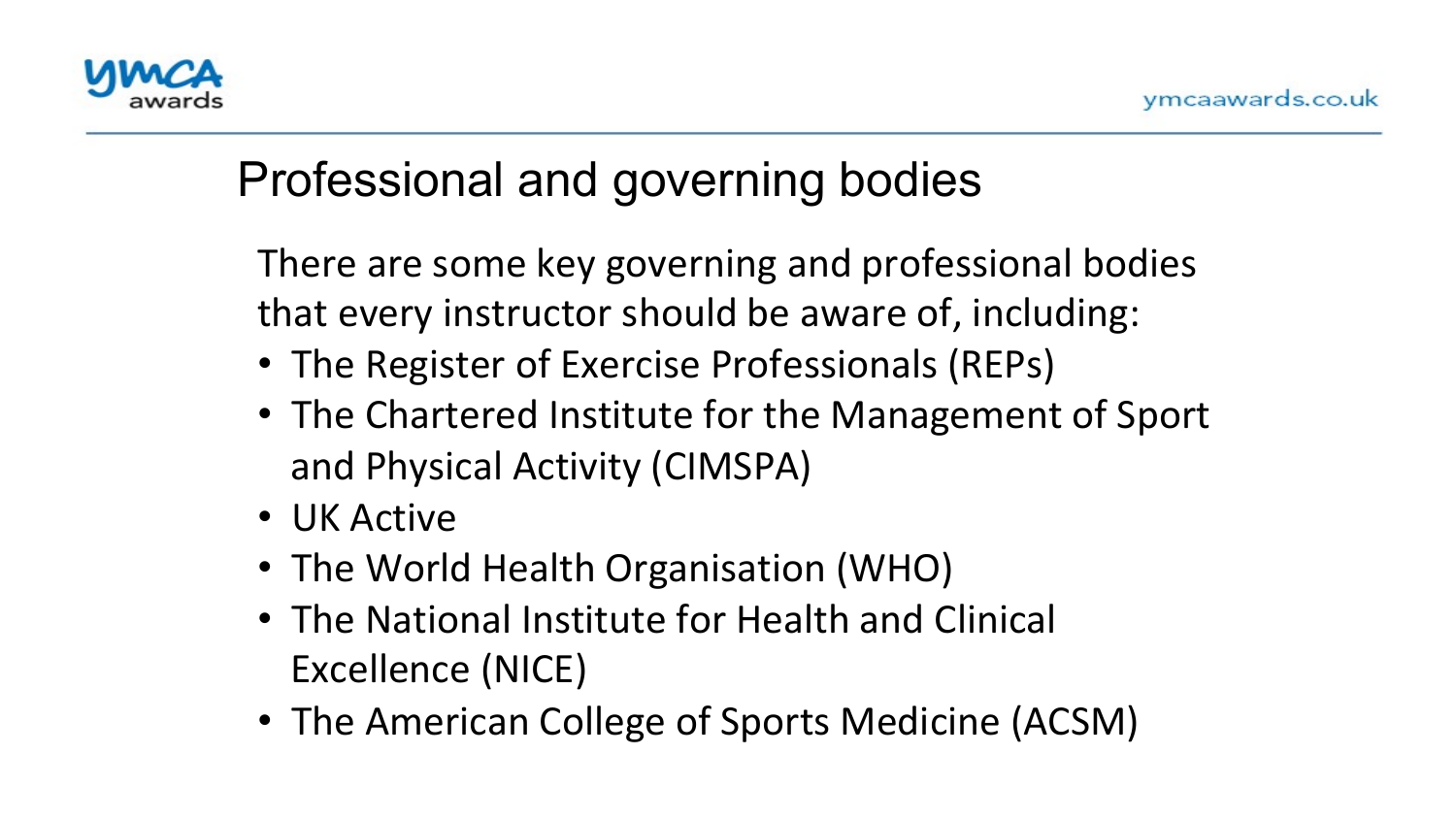

# Professional and governing bodies

There are some key governing and professional bodies that every instructor should be aware of, including:  $\overline{1}$ 

- The Register of Exercise Professionals (REPs)
- The Chartered Institute for the Management of Sport and Physical Activity (CIMSPA)
- UK Active
- The World Health Organisation (WHO)
- The National Institute for Health and Clinical Excellence (NICE)
- The American College of Sports Medicine (ACSM)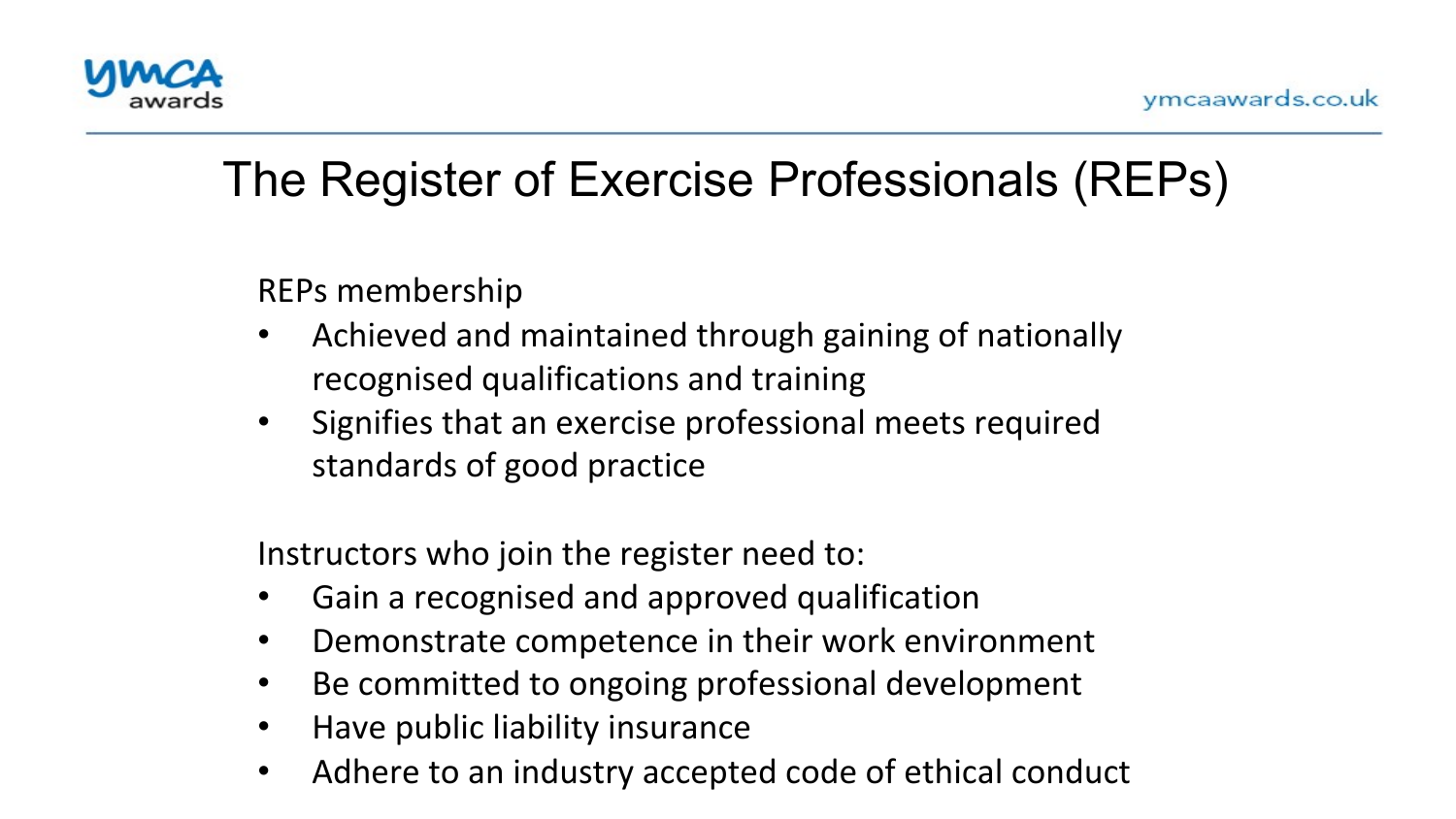

#### The Register of Exercise Professionals (REPs)

REPs membership

- Achieved and maintained through gaining of nationally recognised qualifications and training
- Signifies that an exercise professional meets required standards of good practice

Instructors who join the register need to:

- Gain a recognised and approved qualification
- Demonstrate competence in their work environment
- Be committed to ongoing professional development
- Have public liability insurance
- Adhere to an industry accepted code of ethical conduct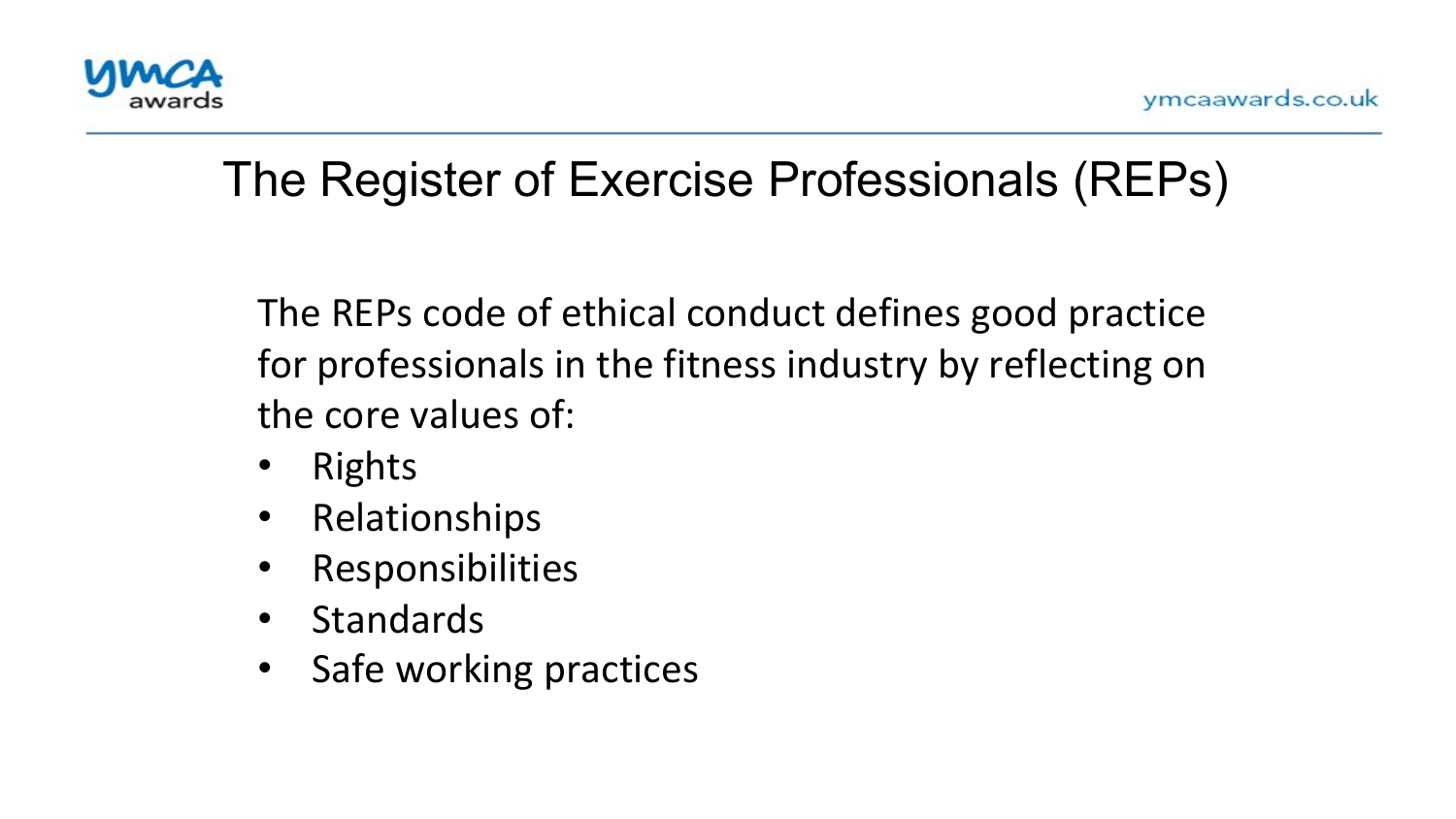

#### The Register of Exercise Professionals (REPs)

The REPs code of ethical conduct defines good practice for professionals in the fitness industry by reflecting on the core values of:  $\overline{1}$ 

- Rights
- Relationships
- Responsibilities
- Standards
- Safe working practices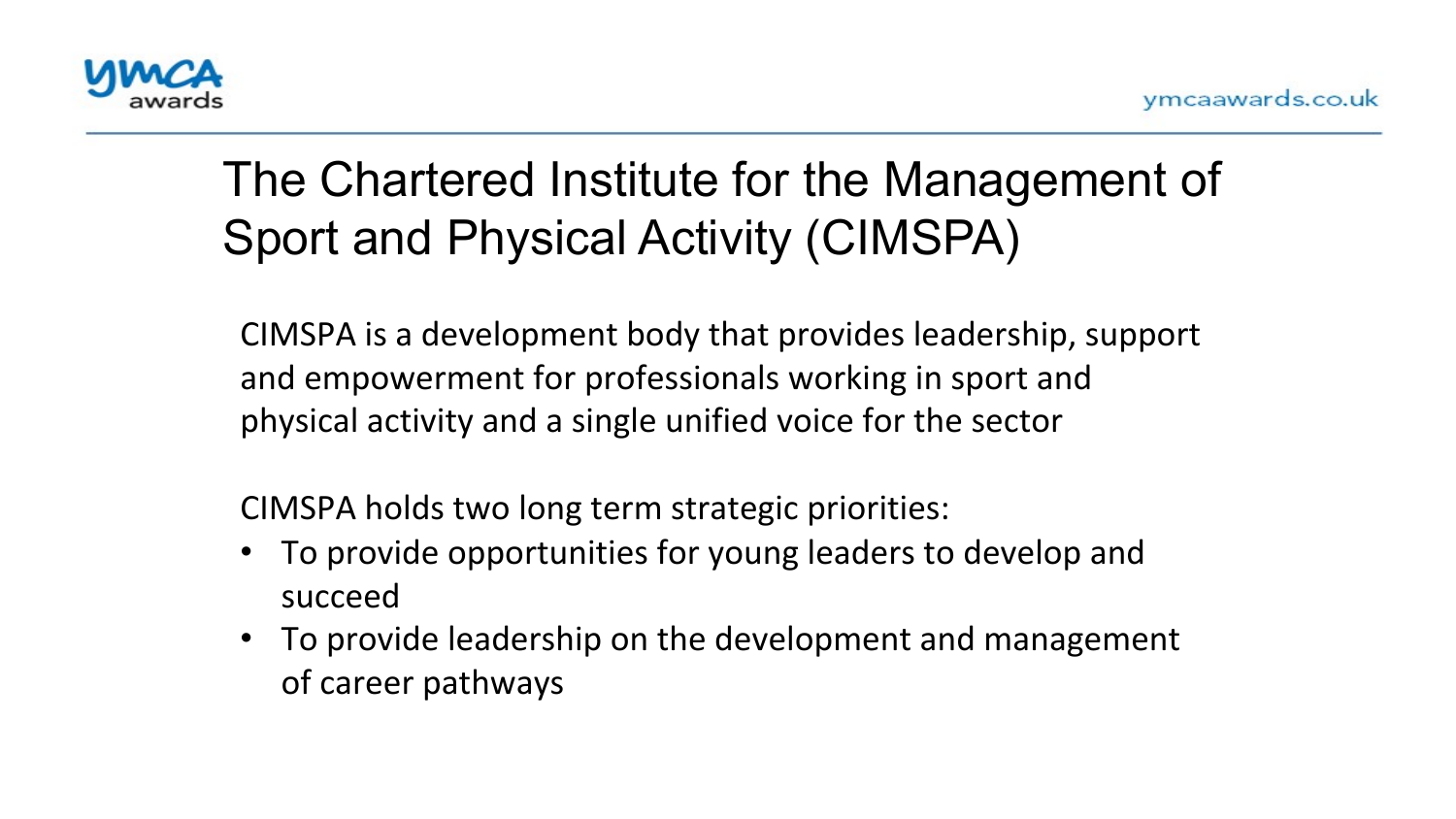

# The Chartered Institute for the Management of Sport and Physical Activity (CIMSPA)

**and Physical Activity (CIMSPA)**  CIMSPA is a development body that provides leadership, support and empowerment for professionals working in sport and physical activity and a single unified voice for the sector

CIMSPA holds two long term strategic priorities:

- To provide opportunities for young leaders to develop and succeed
- To provide leadership on the development and management of career pathways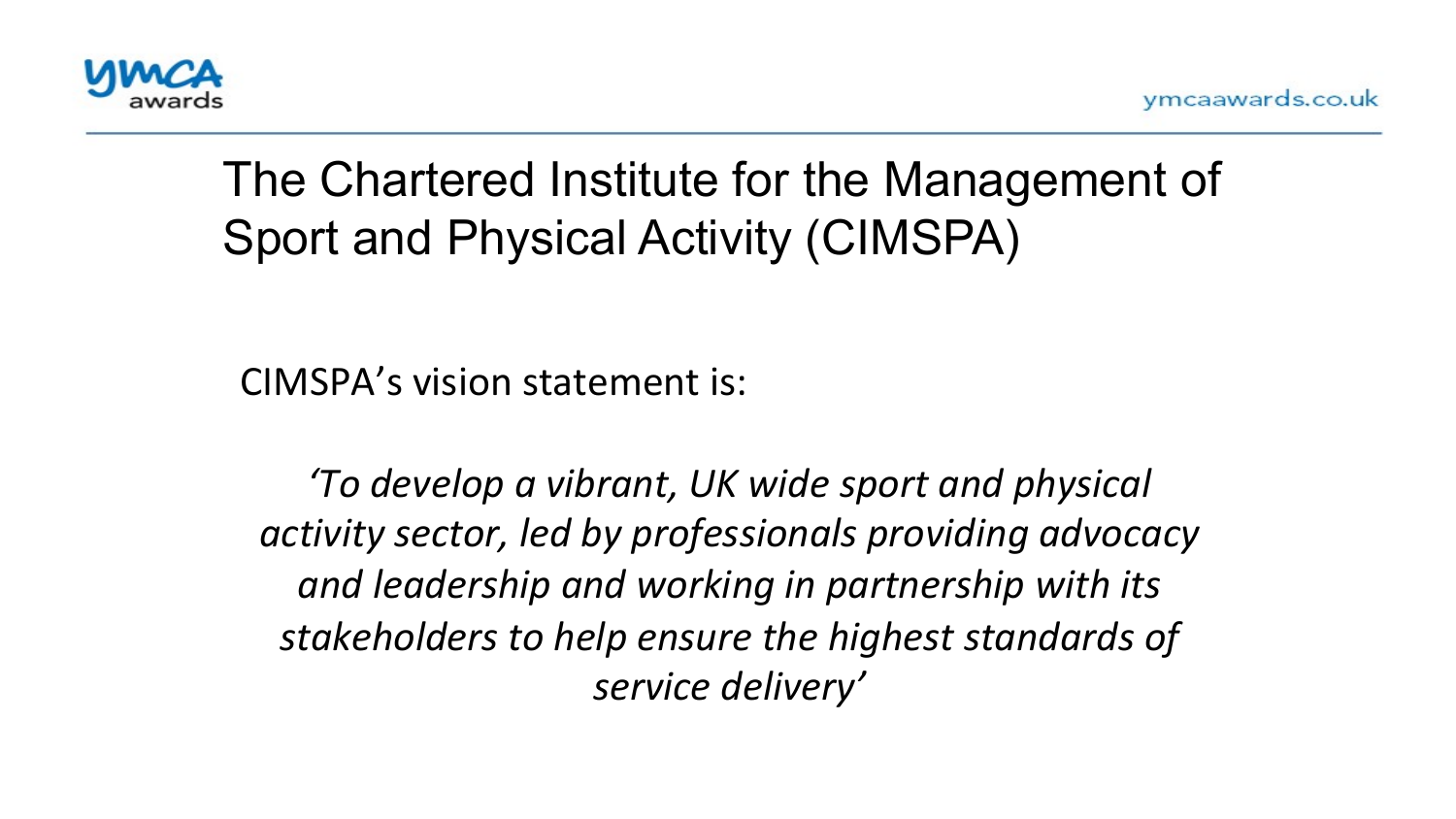

# The Chartered Institute for the Management of Sport and Physical Activity (CIMSPA)

CIMSPA's vision statement is:

*'To develop a vibrant, UK wide sport and physical*  activity sector, led by professionals providing advocacy and leadership and working in partnership with its stakeholders to help ensure the highest standards of *service delivery'*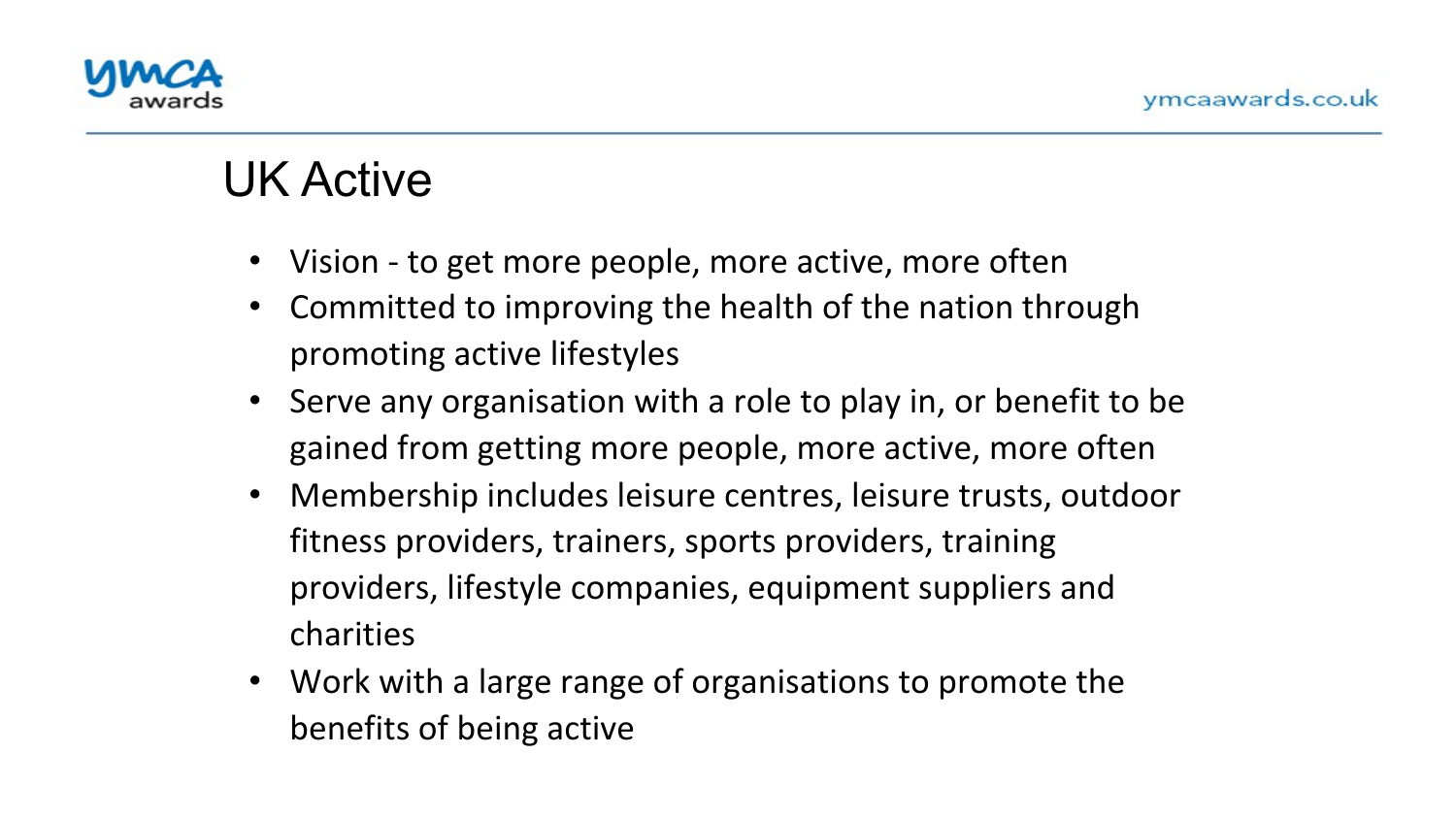

#### **UK Active**

- $\overline{\phantom{a}}$   $\overline{\phantom{a}}$   $\overline{\phantom{a}}$   $\overline{\phantom{a}}$   $\overline{\phantom{a}}$   $\overline{\phantom{a}}$   $\overline{\phantom{a}}$   $\overline{\phantom{a}}$   $\overline{\phantom{a}}$   $\overline{\phantom{a}}$   $\overline{\phantom{a}}$   $\overline{\phantom{a}}$   $\overline{\phantom{a}}$   $\overline{\phantom{a}}$   $\overline{\phantom{a}}$   $\overline{\phantom{a}}$   $\overline{\phantom{a}}$   $\overline{\phantom{a}}$   $\overline{\$ • Vision - to get more people, more active, more often
	- $\bullet$ Committed to improving the health of the nation through promoting active lifestyles
	- Serve any organisation with a role to play in, or benefit to be gained from getting more people, more active, more often
	- Membership includes leisure centres, leisure trusts, outdoor fitness providers, trainers, sports providers, training providers, lifestyle companies, equipment suppliers and charities
	- Work with a large range of organisations to promote the benefits of being active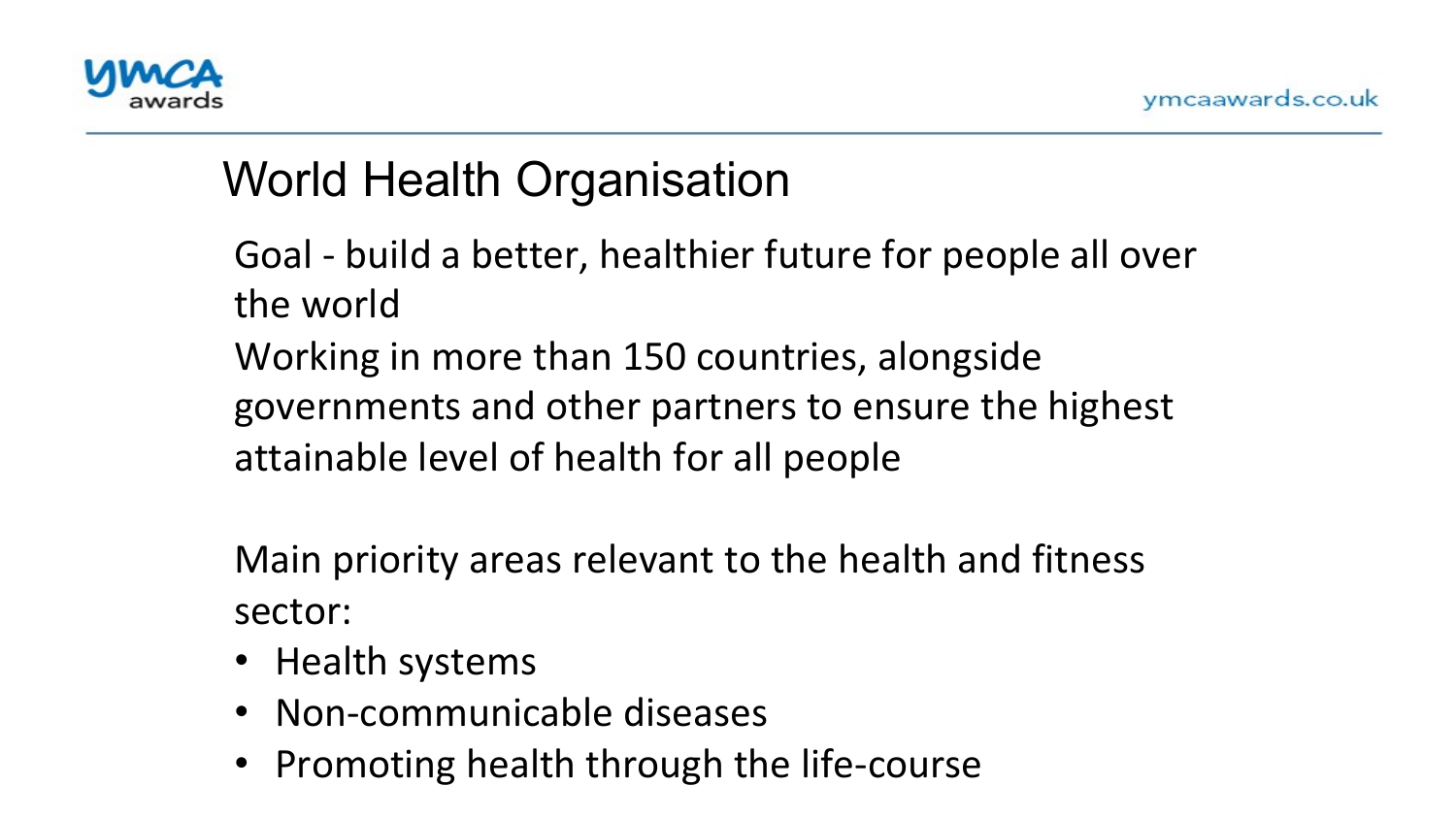

# World Health Organisation

the world Goal - build a better, healthier future for people all over

Working in more than 150 countries, alongside governments and other partners to ensure the highest attainable level of health for all people

Main priority areas relevant to the health and fitness sector: 

- Health systems
- Non-communicable diseases
- Promoting health through the life-course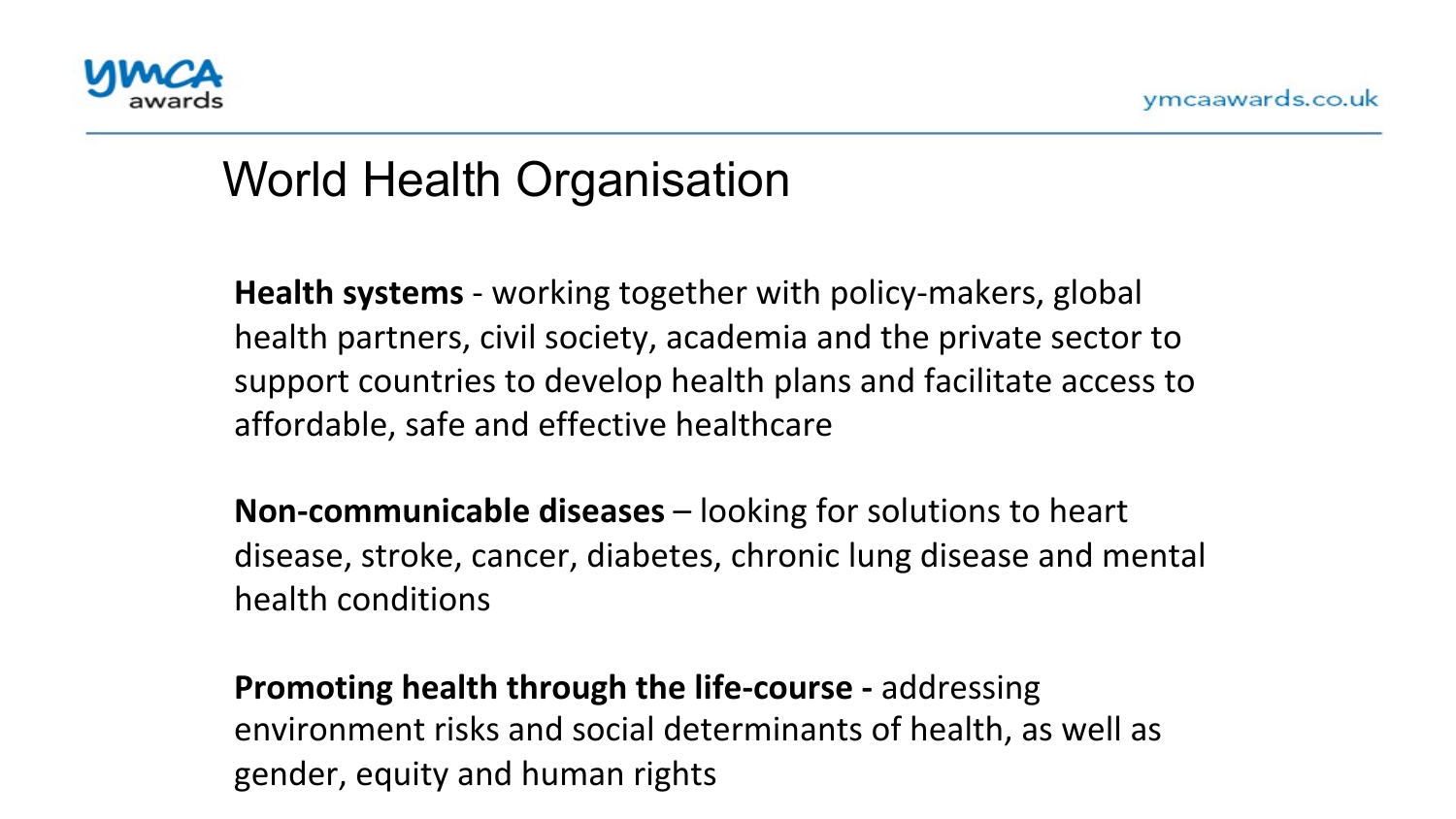

#### World Health Organisation**)**

**Health systems** - working together with policy-makers, global health partners, civil society, academia and the private sector to support countries to develop health plans and facilitate access to affordable, safe and effective healthcare

**Non-communicable diseases** – looking for solutions to heart disease, stroke, cancer, diabetes, chronic lung disease and mental health conditions

**Promoting health through the life-course -** addressing environment risks and social determinants of health, as well as gender, equity and human rights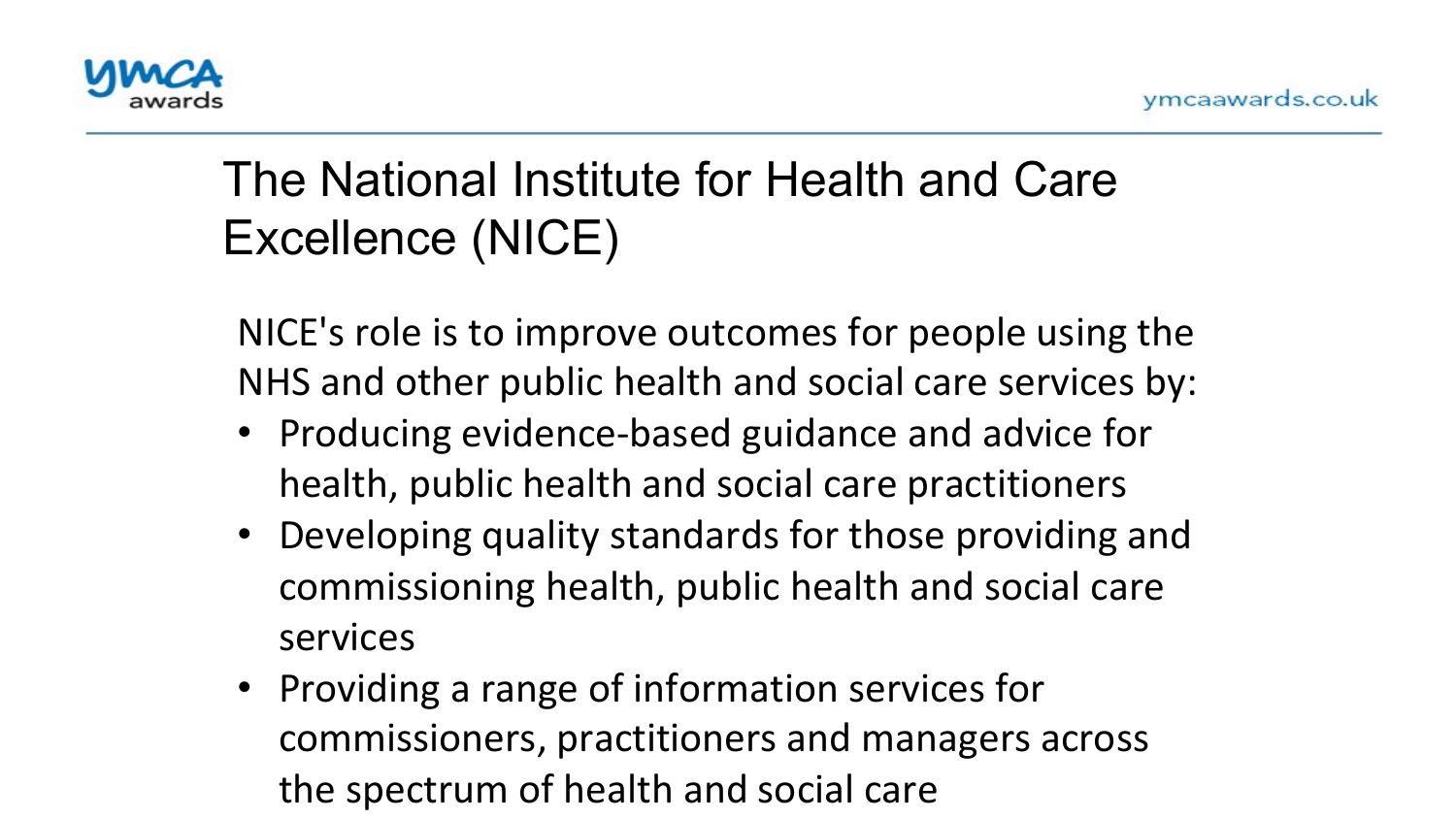

# The National Institute for Health and Care Excellence (NICE)

 $\mathbf{r}$ NICE's role is to improve outcomes for people using the NHS and other public health and social care services by:

- Producing evidence-based guidance and advice for health, public health and social care practitioners
- Developing quality standards for those providing and commissioning health, public health and social care services
- Providing a range of information services for commissioners, practitioners and managers across the spectrum of health and social care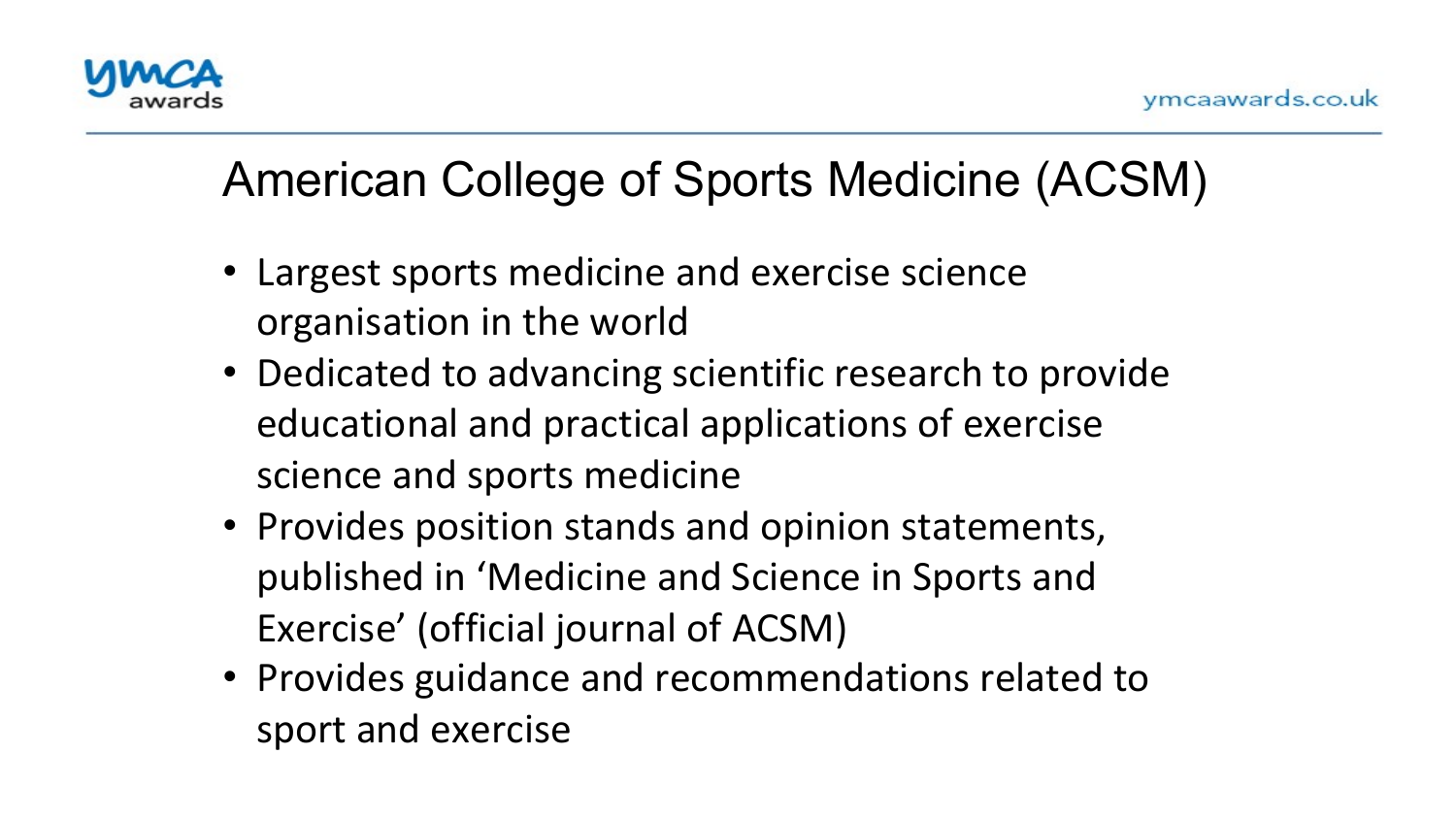

# American College of Sports Medicine (ACSM)

- $\overline{\phantom{a}}$ • Largest sports medicine and exercise science organisation in the world
- Dedicated to advancing scientific research to provide educational and practical applications of exercise science and sports medicine
- Provides position stands and opinion statements, published in 'Medicine and Science in Sports and Exercise' (official journal of ACSM)
- Provides guidance and recommendations related to sport and exercise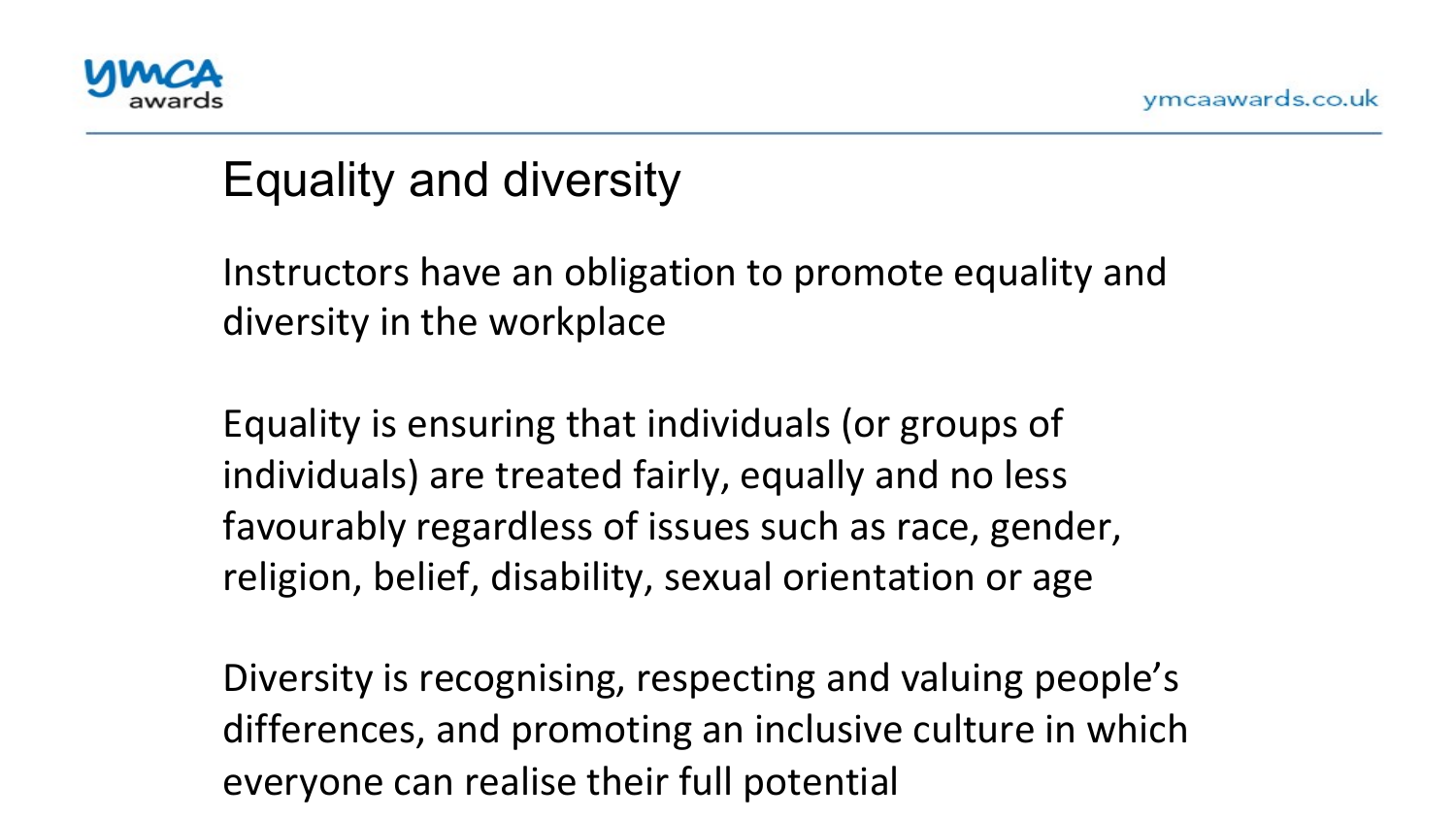

### Equality and diversity

י<br>.<br>., Instructors have an obligation to promote equality and diversity in the workplace

Equality is ensuring that individuals (or groups of individuals) are treated fairly, equally and no less favourably regardless of issues such as race, gender, religion, belief, disability, sexual orientation or age

Diversity is recognising, respecting and valuing people's differences, and promoting an inclusive culture in which everyone can realise their full potential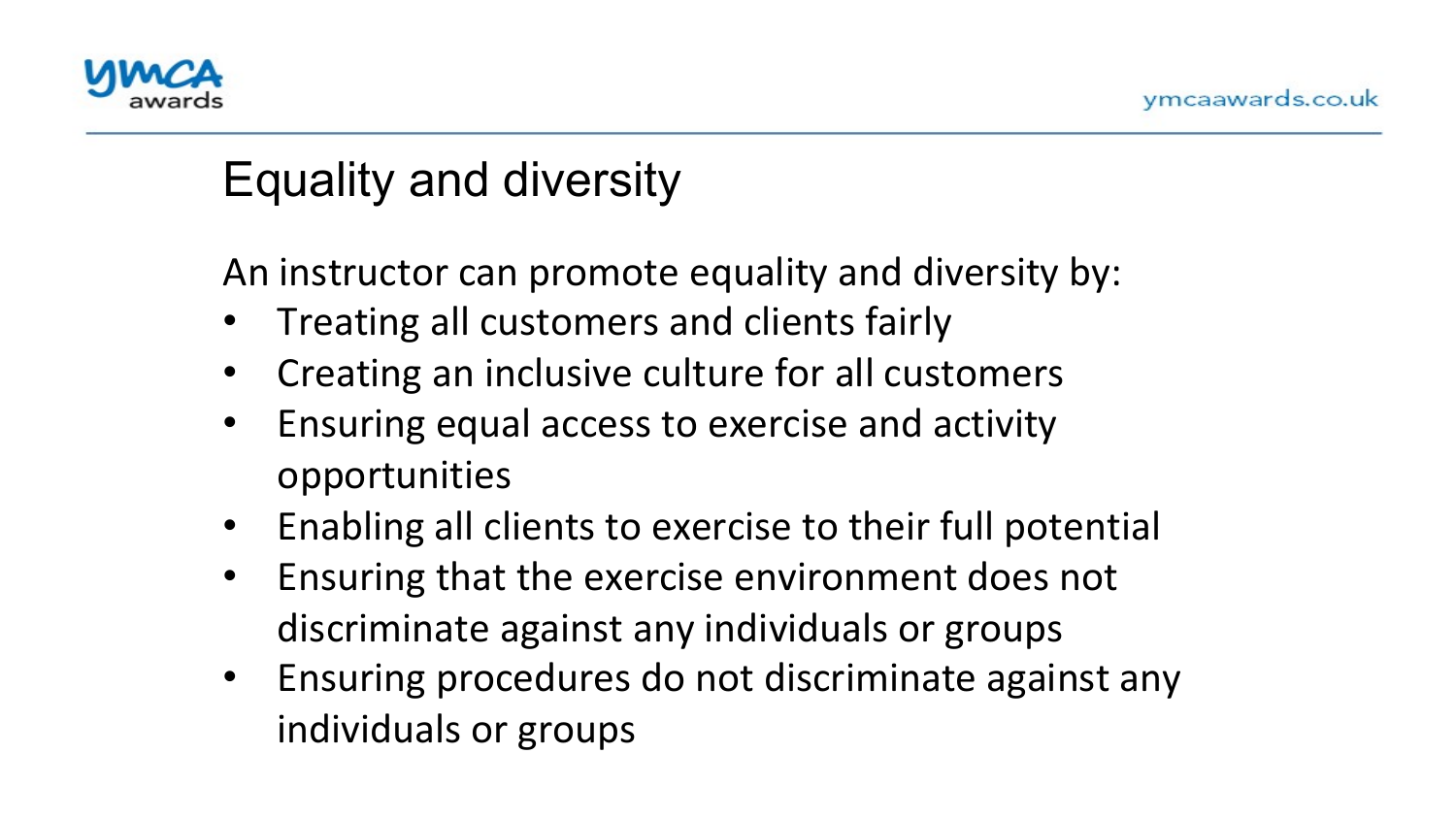

#### Equality and diversity

An instructor can promote equality and diversity by:

- $\ddot{\phantom{0}}$ Treating all customers and clients fairly
- Creating an inclusive culture for all customers
- Ensuring equal access to exercise and activity opportunities
- Enabling all clients to exercise to their full potential
- Ensuring that the exercise environment does not discriminate against any individuals or groups
- Ensuring procedures do not discriminate against any individuals or groups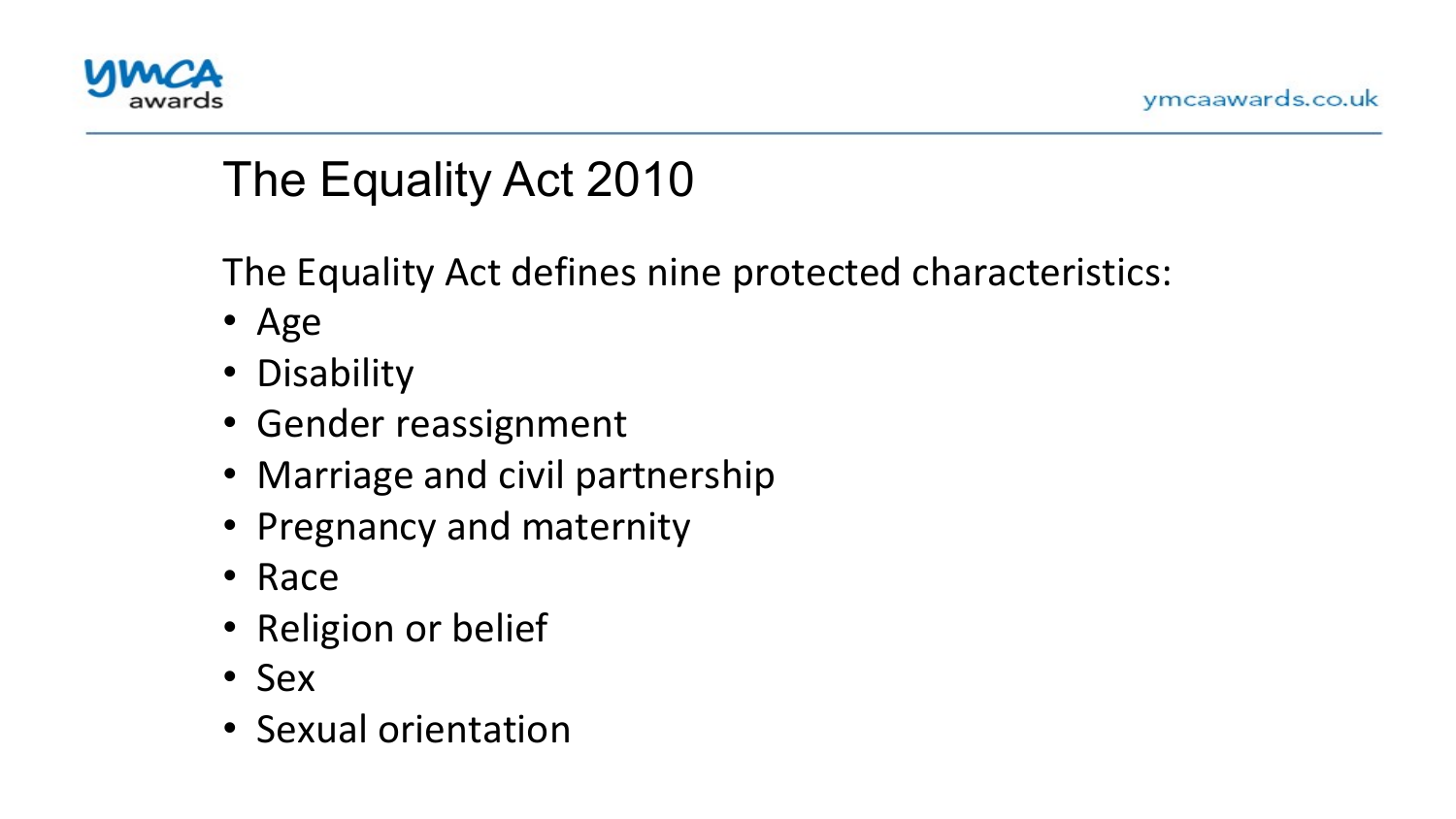

# The Equality Act 2010

The Equality Act defines nine protected characteristics:

- $\frac{1}{\sqrt{2}}$ • Age
- Disability
- Gender reassignment
- Marriage and civil partnership
- Pregnancy and maternity
- Race
- Religion or belief
- Sex
- Sexual orientation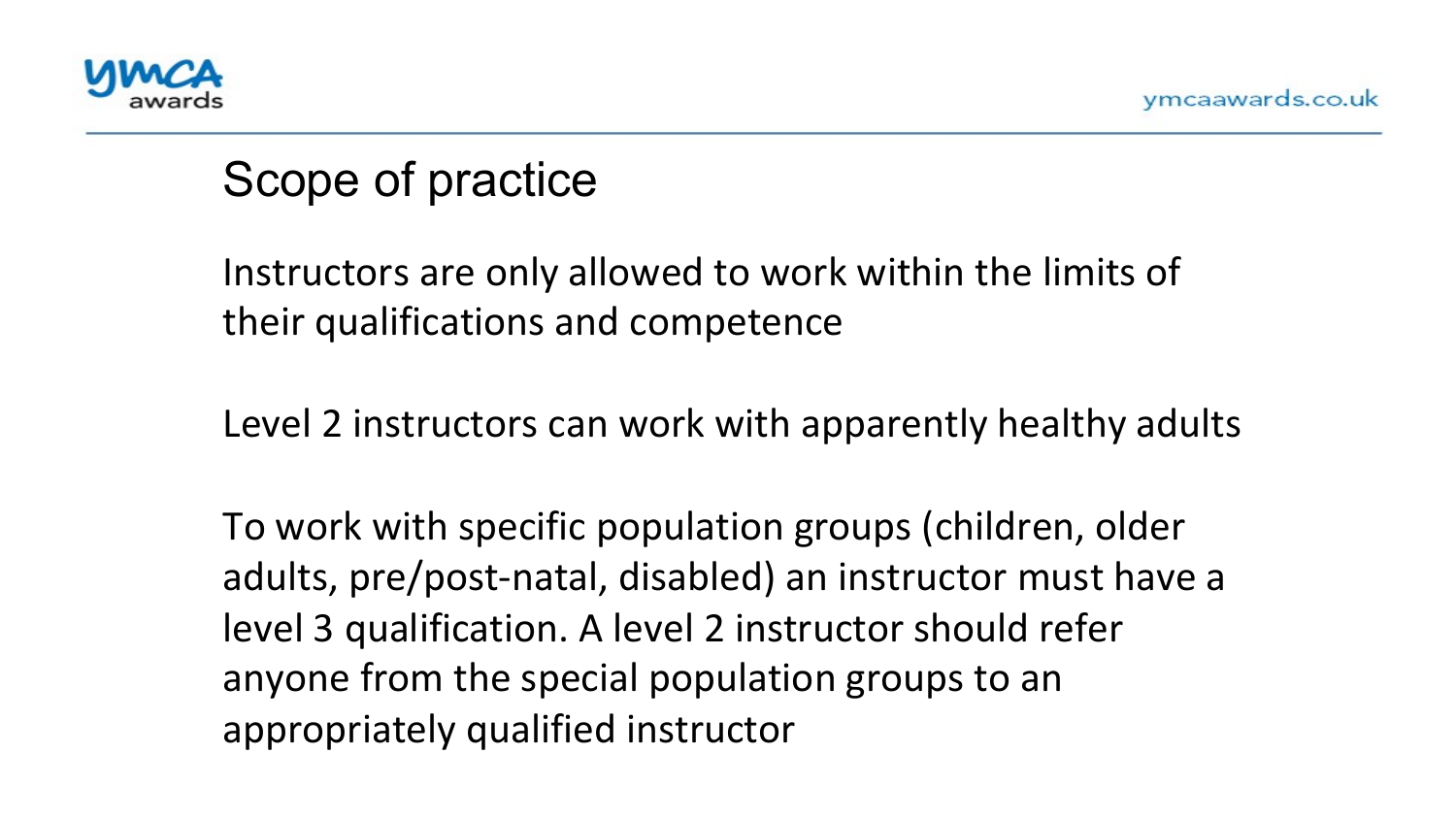

#### Scope of practice

יי<br>י Instructors are only allowed to work within the limits of their qualifications and competence

Level 2 instructors can work with apparently healthy adults

To work with specific population groups (children, older adults, pre/post-natal, disabled) an instructor must have a level 3 qualification. A level 2 instructor should refer anyone from the special population groups to an appropriately qualified instructor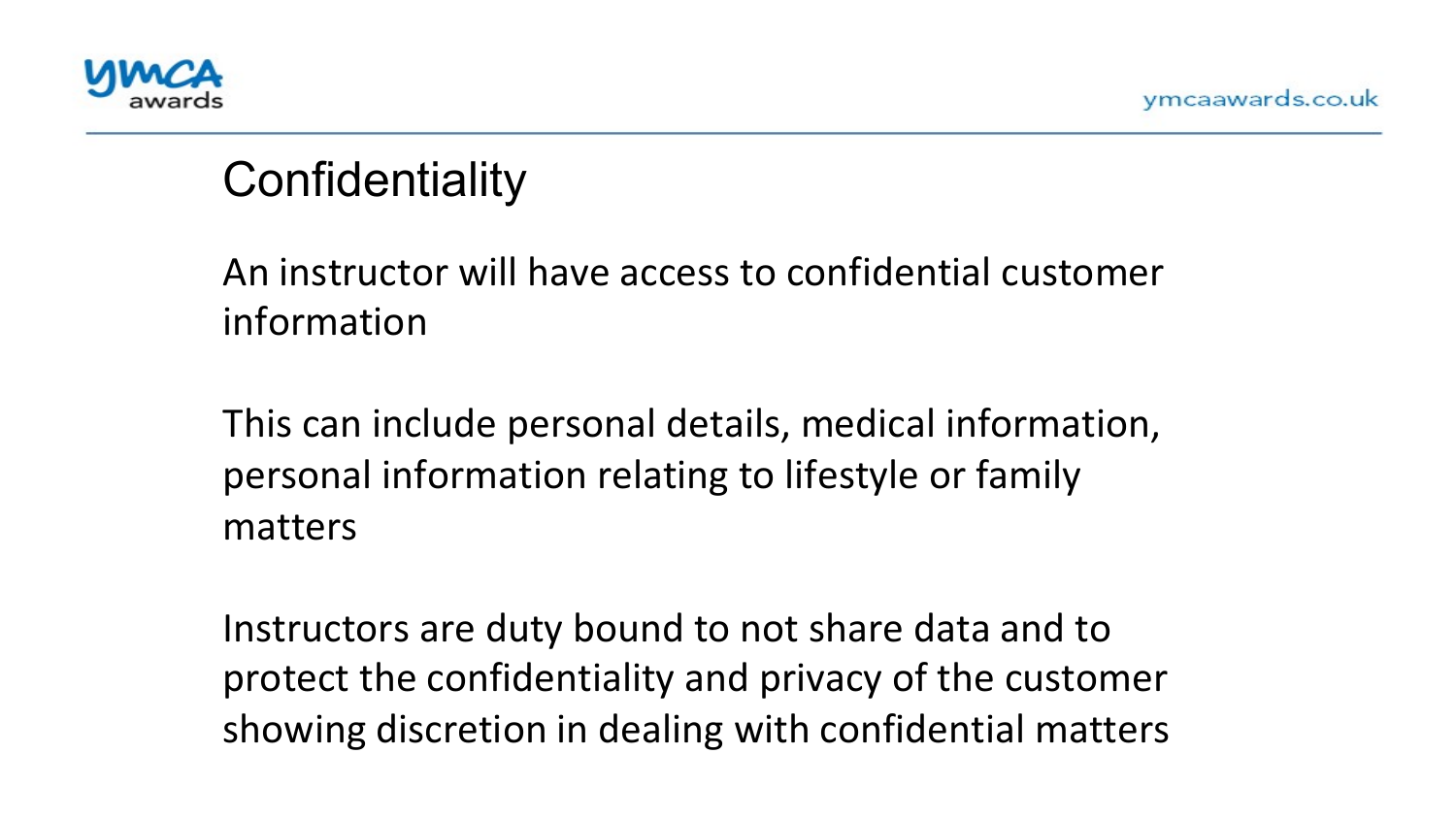

## **Confidentiality**

. .<br>4. An instructor will have access to confidential customer information 

This can include personal details, medical information, personal information relating to lifestyle or family matters 

Instructors are duty bound to not share data and to protect the confidentiality and privacy of the customer showing discretion in dealing with confidential matters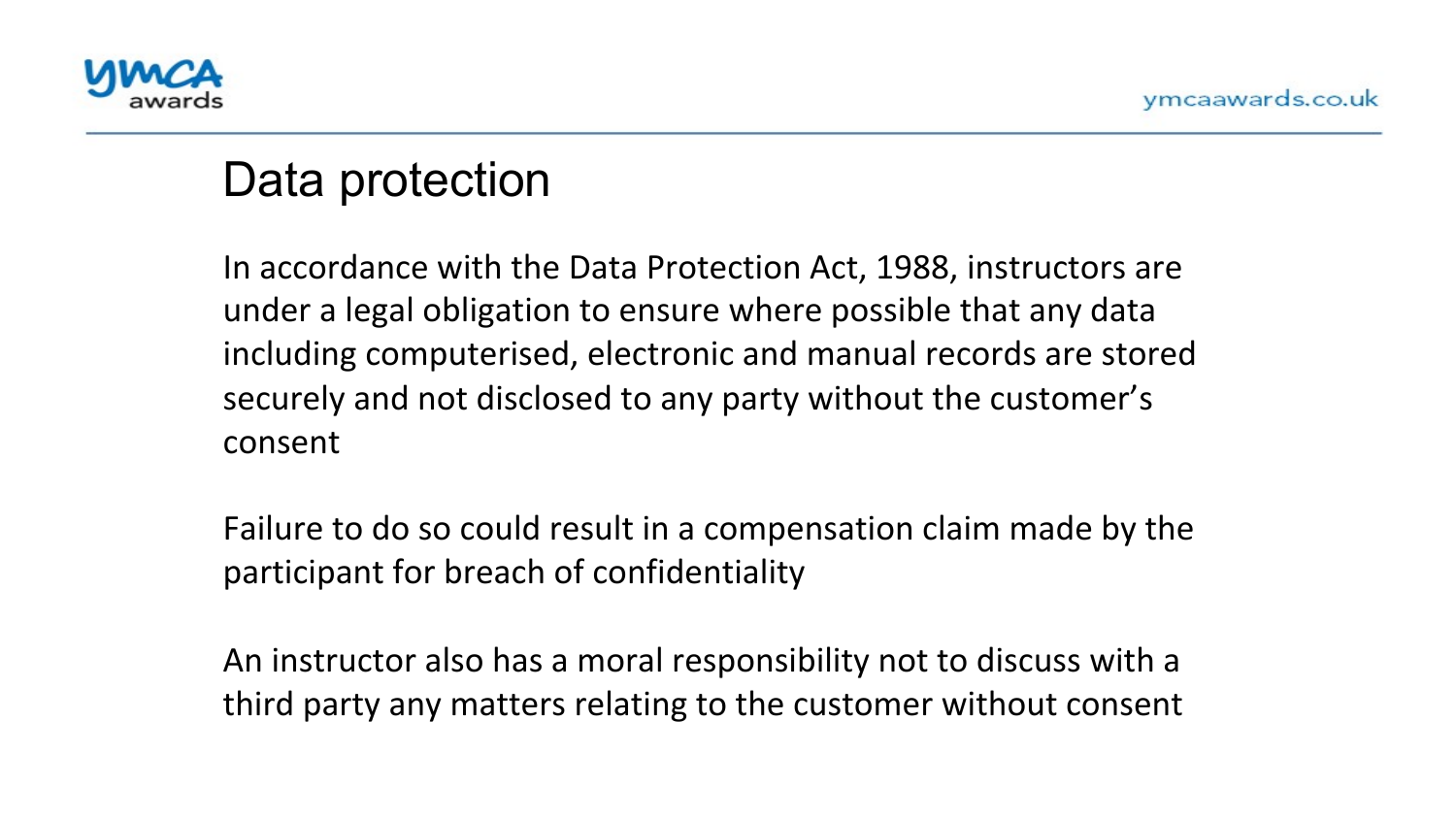

#### Data protection

under a legal obligation to ensure where possible that any data In accordance with the Data Protection Act, 1988, instructors are including computerised, electronic and manual records are stored securely and not disclosed to any party without the customer's consent 

Failure to do so could result in a compensation claim made by the participant for breach of confidentiality

An instructor also has a moral responsibility not to discuss with a third party any matters relating to the customer without consent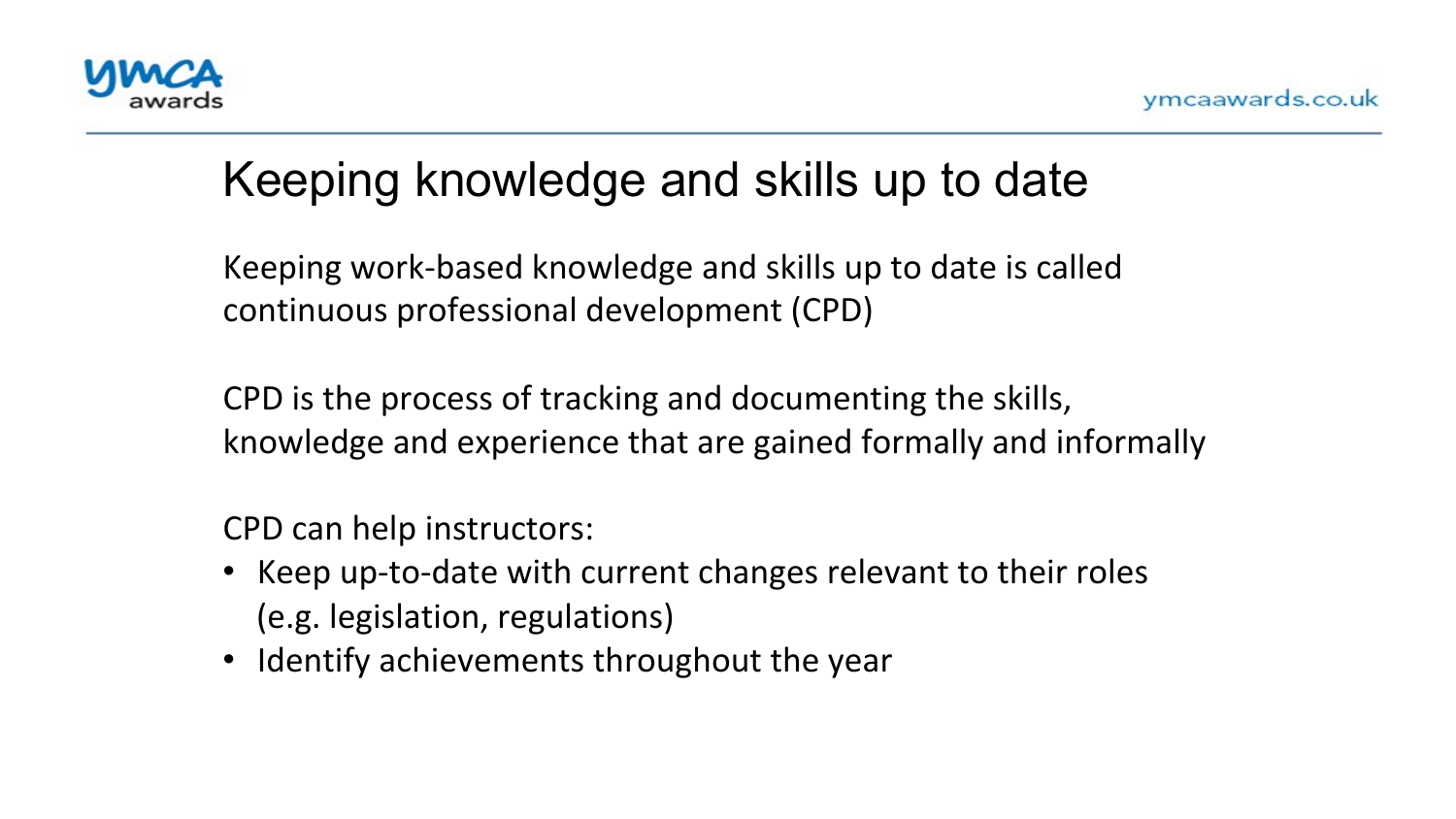

### Keeping knowledge and skills up to date

continuous professional development (CPD) Keeping work-based knowledge and skills up to date is called

CPD is the process of tracking and documenting the skills, knowledge and experience that are gained formally and informally

CPD can help instructors:

- Keep up-to-date with current changes relevant to their roles (e.g. legislation, regulations)
- Identify achievements throughout the year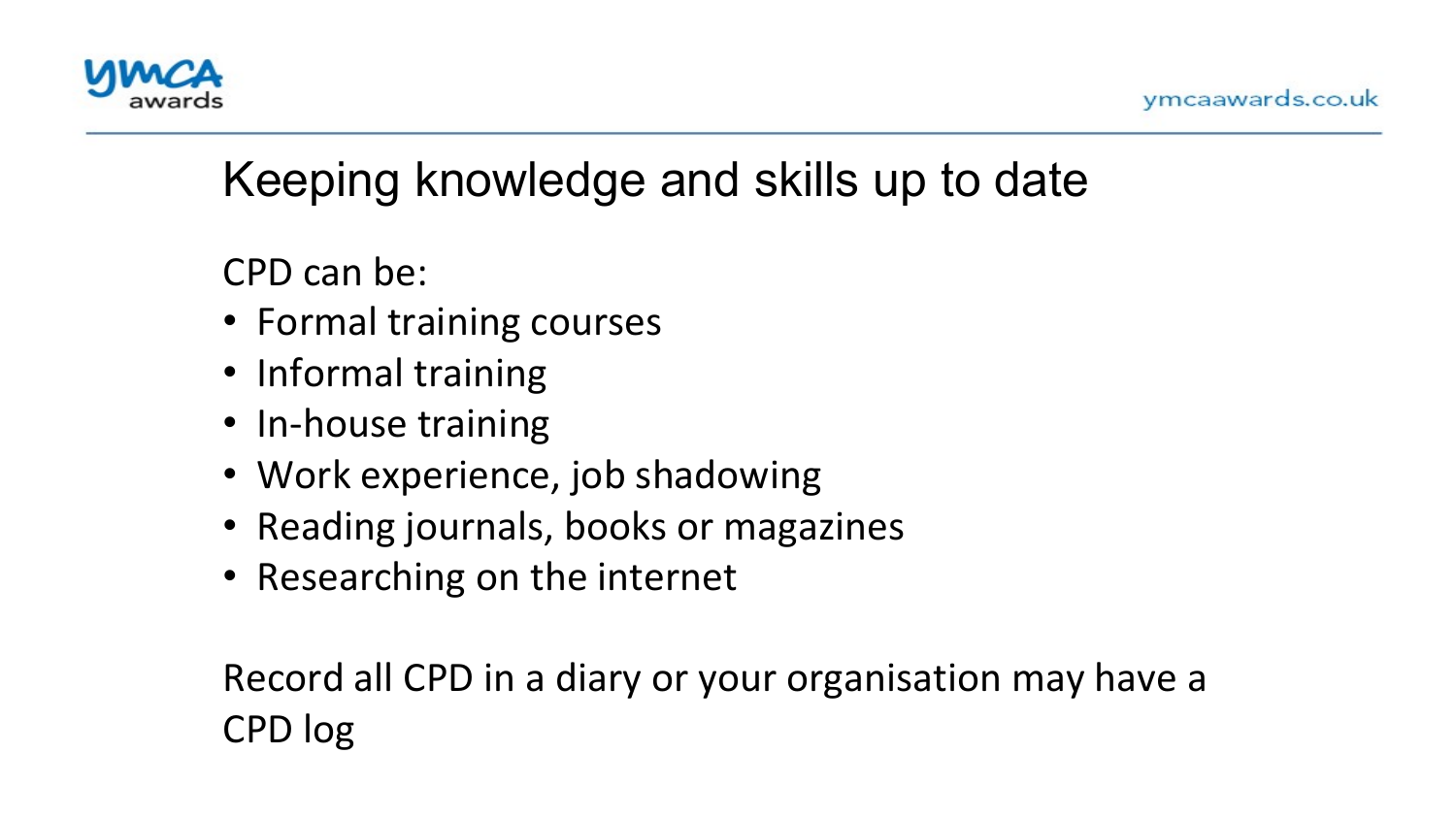

### Keeping knowledge and skills up to date

CPD can be:

- '<br>「 • Formal training courses
- Informal training
- In-house training
- Work experience, job shadowing
- Reading journals, books or magazines
- Researching on the internet

Record all CPD in a diary or your organisation may have a CPD log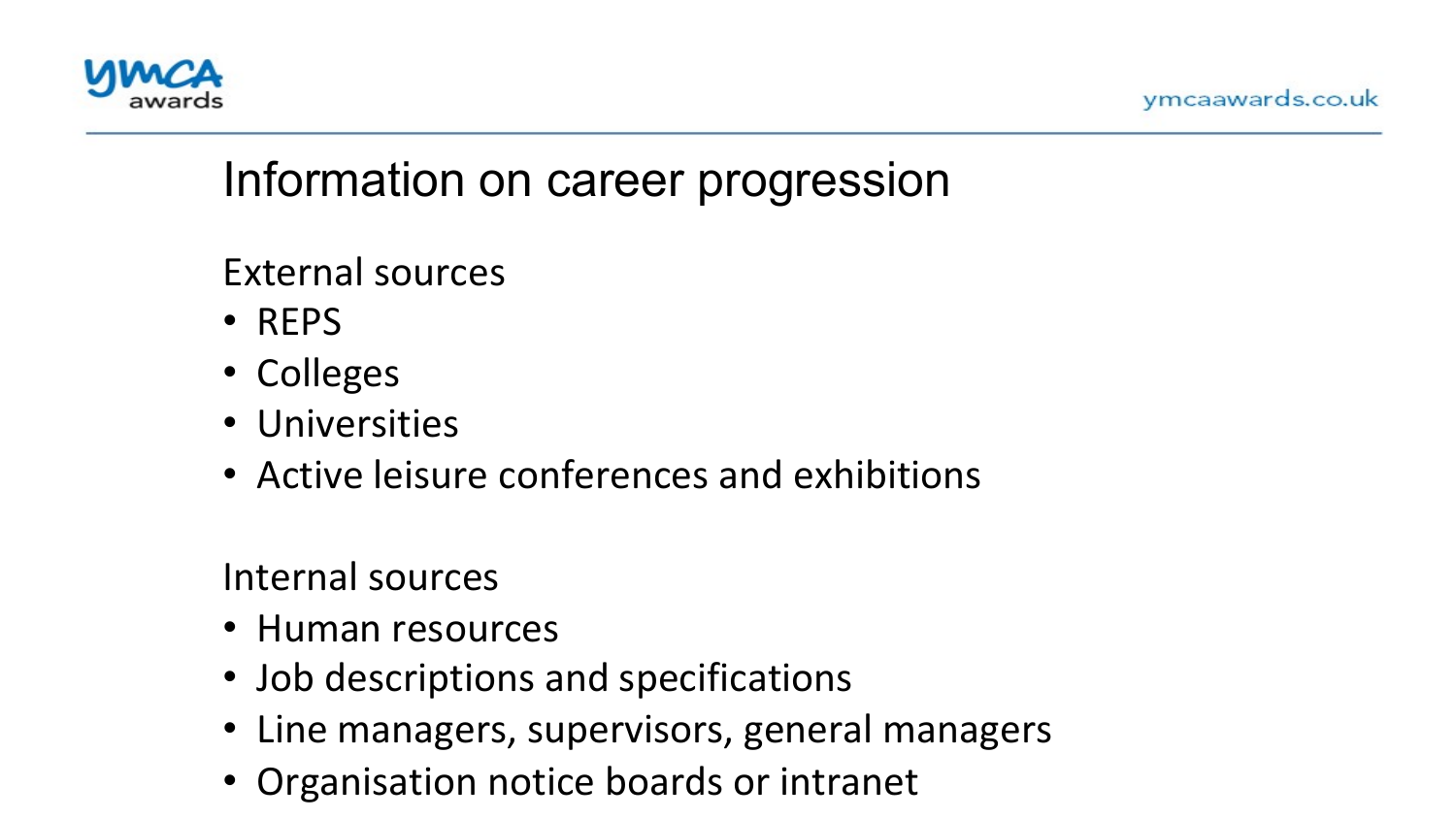

#### Information on career progression

External sources

- $\frac{1}{1}$ • REPS
- Colleges
- Universities
- Active leisure conferences and exhibitions

Internal sources 

- Human resources
- Job descriptions and specifications
- Line managers, supervisors, general managers
- Organisation notice boards or intranet